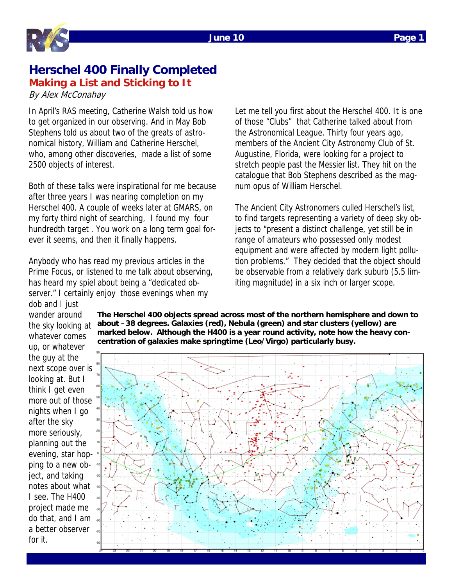

## **Herschel 400 Finally Completed Making a List and Sticking to It**

By Alex McConahay

In April's RAS meeting, Catherine Walsh told us how to get organized in our observing. And in May Bob Stephens told us about two of the greats of astronomical history, William and Catherine Herschel, who, among other discoveries, made a list of some 2500 objects of interest.

Both of these talks were inspirational for me because after three years I was nearing completion on my Herschel 400. A couple of weeks later at GMARS, on my forty third night of searching, I found my four hundredth target . You work on a long term goal forever it seems, and then it finally happens.

Anybody who has read my previous articles in the Prime Focus, or listened to me talk about observing, has heard my spiel about being a "dedicated observer." I certainly enjoy those evenings when my dob and I just

Let me tell you first about the Herschel 400. It is one of those "Clubs" that Catherine talked about from the Astronomical League. Thirty four years ago, members of the Ancient City Astronomy Club of St. Augustine, Florida, were looking for a project to stretch people past the Messier list. They hit on the catalogue that Bob Stephens described as the magnum opus of William Herschel.

The Ancient City Astronomers culled Herschel's list, to find targets representing a variety of deep sky objects to "present a distinct challenge, yet still be in range of amateurs who possessed only modest equipment and were affected by modern light pollution problems." They decided that the object should be observable from a relatively dark suburb (5.5 limiting magnitude) in a six inch or larger scope.

wander around the sky looking at whatever comes up, or whatever the guy at the next scope over is looking at. But I think I get even more out of those nights when I go after the sky more seriously, planning out the evening, star hopping to a new object, and taking notes about what I see. The H400 project made me do that, and I am a better observer for it.

**The Herschel 400 objects spread across most of the northern hemisphere and down to about –38 degrees. Galaxies (red), Nebula (green) and star clusters (yellow) are marked below. Although the H400 is a year round activity, note how the heavy concentration of galaxies make springtime (Leo/Virgo) particularly busy.** 

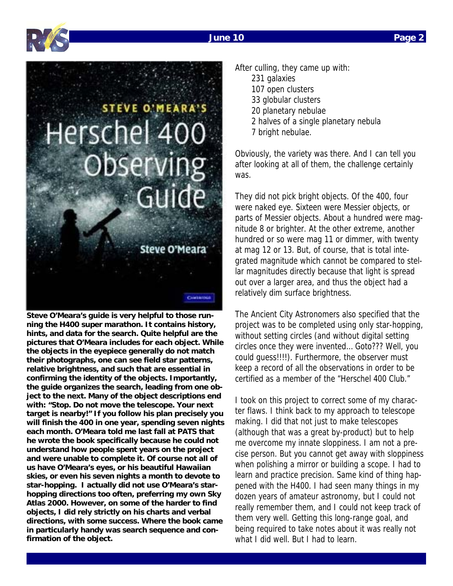

Cilinarion



**Steve O'Meara's guide is very helpful to those running the H400 super marathon. It contains history, hints, and data for the search. Quite helpful are the pictures that O'Meara includes for each object. While the objects in the eyepiece generally do not match their photographs, one can see field star patterns, relative brightness, and such that are essential in confirming the identity of the objects. Importantly, the guide organizes the search, leading from one object to the next. Many of the object descriptions end with: "Stop. Do not move the telescope. Your next target is nearby!" If you follow his plan precisely you will finish the 400 in one year, spending seven nights each month. O'Meara told me last fall at PATS that he wrote the book specifically because he could not understand how people spent years on the project and were unable to complete it. Of course not all of us have O'Meara's eyes, or his beautiful Hawaiian skies, or even his seven nights a month to devote to star-hopping. I actually did not use O'Meara's starhopping directions too often, preferring my own Sky Atlas 2000. However, on some of the harder to find objects, I did rely strictly on his charts and verbal directions, with some success. Where the book came in particularly handy was search sequence and confirmation of the object.** 

After culling, they came up with: 231 galaxies 107 open clusters 33 globular clusters 20 planetary nebulae 2 halves of a single planetary nebula 7 bright nebulae.

Obviously, the variety was there. And I can tell you after looking at all of them, the challenge certainly was.

They did not pick bright objects. Of the 400, four were naked eye. Sixteen were Messier objects, or parts of Messier objects. About a hundred were magnitude 8 or brighter. At the other extreme, another hundred or so were mag 11 or dimmer, with twenty at mag 12 or 13. But, of course, that is total integrated magnitude which cannot be compared to stellar magnitudes directly because that light is spread out over a larger area, and thus the object had a relatively dim surface brightness.

The Ancient City Astronomers also specified that the project was to be completed using only star-hopping, without setting circles (and without digital setting circles once they were invented… Goto??? Well, you could guess!!!!). Furthermore, the observer must keep a record of all the observations in order to be certified as a member of the "Herschel 400 Club."

I took on this project to correct some of my character flaws. I think back to my approach to telescope making. I did that not just to make telescopes (although that was a great by-product) but to help me overcome my innate sloppiness. I am not a precise person. But you cannot get away with sloppiness when polishing a mirror or building a scope. I had to learn and practice precision. Same kind of thing happened with the H400. I had seen many things in my dozen years of amateur astronomy, but I could not really remember them, and I could not keep track of them very well. Getting this long-range goal, and being required to take notes about it was really not what I did well. But I had to learn.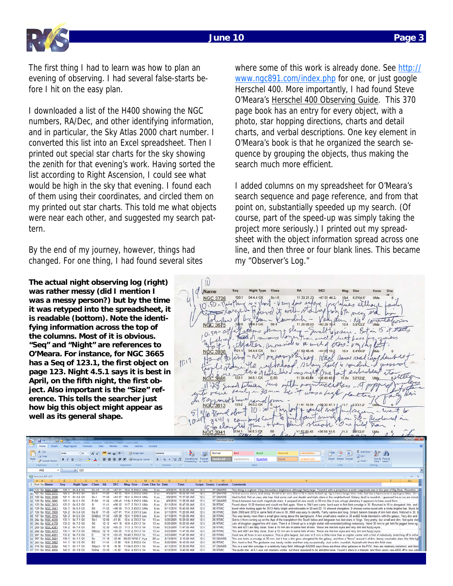

The first thing I had to learn was how to plan an evening of observing. I had several false-starts before I hit on the easy plan.

I downloaded a list of the H400 showing the NGC numbers, RA/Dec, and other identifying information, and in particular, the Sky Atlas 2000 chart number. I converted this list into an Excel spreadsheet. Then I printed out special star charts for the sky showing the zenith for that evening's work. Having sorted the list according to Right Ascension, I could see what would be high in the sky that evening. I found each of them using their coordinates, and circled them on my printed out star charts. This told me what objects were near each other, and suggested my search pattern.

By the end of my journey, however, things had changed. For one thing, I had found several sites

**The actual night observing log (right) was rather messy (did I mention I was a messy person?) but by the time it was retyped into the spreadsheet, it is readable (bottom). Note the identifying information across the top of the columns. Most of it is obvious. "Seq" and "Night" are references to O'Meara. For instance, for NGC 3665 has a Seq of 123.1, the first object on page 123. Night 4.5.1 says it is best in April, on the fifth night, the first object. Also important is the "Size" reference. This tells the searcher just how big this object might appear as well as its general shape.** 

where some of this work is already done. See http:// www.ngc891.com/index.php for one, or just google Herschel 400. More importantly, I had found Steve O'Meara's Herschel 400 Observing Guide. This 370 page book has an entry for every object, with a photo, star hopping directions, charts and detail charts, and verbal descriptions. One key element in O'Meara's book is that he organized the search sequence by grouping the objects, thus making the search much more efficient.

I added columns on my spreadsheet for O'Meara's search sequence and page reference, and from that point on, substantially speeded up my search. (Of course, part of the speed-up was simply taking the project more seriously.) I printed out my spreadsheet with the object information spread across one line, and then three or four blank lines. This became my "Observer's Log."



| o.                                                              | w<br><b>The Contract of the Contract of the Contract of the Contract of the Contract of the Contract of the Contract o</b><br>IMICROSOFT EXCEP |                                          |                |                                                                   |                         |           |                 |                          |                                                    |                       |                                       |                       |                                               |                             |                                                                                                                                                                                                                                                                                                                                     |                  |                            |                                          |                        |                        |                                             |     |  |
|-----------------------------------------------------------------|------------------------------------------------------------------------------------------------------------------------------------------------|------------------------------------------|----------------|-------------------------------------------------------------------|-------------------------|-----------|-----------------|--------------------------|----------------------------------------------------|-----------------------|---------------------------------------|-----------------------|-----------------------------------------------|-----------------------------|-------------------------------------------------------------------------------------------------------------------------------------------------------------------------------------------------------------------------------------------------------------------------------------------------------------------------------------|------------------|----------------------------|------------------------------------------|------------------------|------------------------|---------------------------------------------|-----|--|
| Home<br>Page Layout<br>Add but<br>Arrobat<br>Intert<br>Formular |                                                                                                                                                |                                          |                |                                                                   |                         |           |                 |                          |                                                    |                       |                                       |                       |                                               |                             |                                                                                                                                                                                                                                                                                                                                     |                  |                            |                                          |                        |                        |                                             |     |  |
| Paste                                                           | <b>B</b> & Cut<br><b>Lin Copy</b><br>Format Painter<br>Clipboard                                                                               |                                          | Arial          | $\cdot$ 10<br>$B$ $I$ $U$ $\rightarrow$ $H$ $\rightarrow$<br>Font | $\mathbf{A} \mathbf{A}$ |           | $=$ $=$ $+$ $+$ | Alignment                | Wrap Text<br><b>注意 を置き Fail Merge &amp; Center</b> | General<br><b>GUI</b> | $-3.4$<br>$\cdot$ % $\cdot$<br>Number |                       | Conditional Format<br>Formatting * as Table * | Normal<br><b>Check Cell</b> | Bad<br>Good<br><b>Hyperlink</b><br>Explanatory<br>Styles                                                                                                                                                                                                                                                                            | Neutral<br>Input | Calculation<br>Linked Cell | ÷<br>子見<br>Insert Delete Format<br>Celli | al Fill +<br>Q Clear * | E AutoSum -<br>Editing | - Chi<br>Sort & Find &<br>Filter + Select + |     |  |
|                                                                 | A81                                                                                                                                            |                                          | $ (2)$         | $f_{\pi}$ 122                                                     |                         |           |                 |                          |                                                    |                       |                                       |                       |                                               |                             |                                                                                                                                                                                                                                                                                                                                     |                  |                            |                                          |                        |                        |                                             |     |  |
|                                                                 |                                                                                                                                                |                                          |                |                                                                   |                         |           |                 |                          |                                                    |                       |                                       |                       |                                               |                             |                                                                                                                                                                                                                                                                                                                                     |                  |                            |                                          |                        |                        |                                             |     |  |
| <b>GII Herschel 400 v6:2</b><br>$\blacksquare$                  |                                                                                                                                                |                                          |                |                                                                   |                         |           |                 |                          |                                                    |                       |                                       |                       |                                               |                             |                                                                                                                                                                                                                                                                                                                                     |                  |                            |                                          |                        |                        |                                             |     |  |
|                                                                 | $A$ $B$                                                                                                                                        | C                                        | E              | G<br>F.                                                           |                         |           |                 |                          | M                                                  | R<br>N                | S                                     |                       | U.                                            | W                           |                                                                                                                                                                                                                                                                                                                                     |                  |                            |                                          |                        |                        |                                             | AA. |  |
|                                                                 | Sort Ser Name                                                                                                                                  |                                          | Seq            | <b>Night Type</b>                                                 | Class                   | <b>RA</b> | <b>DEC</b>      | Mag Size                 |                                                    | Cons Cha Se Date      |                                       | <b>Time</b>           | Scope                                         | Sessio Location             | <b>Comments</b>                                                                                                                                                                                                                                                                                                                     |                  |                            |                                          |                        |                        |                                             |     |  |
|                                                                 |                                                                                                                                                | 122 Sp NGC 3726                          |                | 120.1 04.4.4 GX                                                   | Sc I-II                 | 1133      |                 |                          | +47 01 10.4 6.0X4.5 UMa                            | 6 xx                  |                                       | 4/9/2010 10:50:00 AM  | 12.5                                          | 37 GMARS                    | This thing is a ghost. Very low surface brightness although fairly large. Found it with a jump from a sixth magnitude star in the paw of Big Bear. Roundish, v                                                                                                                                                                      |                  |                            |                                          |                        |                        |                                             |     |  |
|                                                                 |                                                                                                                                                | 02 121 Sp NGC 3675                       |                | 120.5 04.4.5 GX                                                   | <b>Sb</b> II            | 11.26     |                 |                          | +43 35 10.4 5.9%3.2 UMa                            | 6 xx                  |                                       | 4/9/2010 10:59:00 AM  | 12.5                                          | 37 GMARS                    | At first seems skinny and sharp. Small to be sure. But in 15 it starts to bulk up. Its remains longer than wide, but has a fuziness to it agnd gets fatter. On el                                                                                                                                                                   |                  |                            |                                          |                        |                        |                                             |     |  |
|                                                                 |                                                                                                                                                | 83 128 Sp NGC 3938                       |                | 121.1 04.4.6 GX                                                   | Sc I                    | 11 52     |                 |                          | +44 07 10.4 5.4%4.9 UMa                            | $6 \times$            |                                       | 4/9/2010 11:17:00 AM  | 12.5                                          | 37 GMARS                    | Hard to find. Not an easy star hop. Had some real cool double and triple stars in the neighborhood. Galaxy itself is roundish. I guessed five or six arc minute                                                                                                                                                                     |                  |                            |                                          |                        |                        |                                             |     |  |
|                                                                 |                                                                                                                                                | 84 120 Sp NGC 3665                       | 123.1          | 04.5.1 GX                                                         | E-S0                    | 11 24     |                 |                          | +38 45 11.6y 3.2X2.6 UMa                           | 6 xx                  |                                       | 4/9/2010 11:28:00 AM  | 12.5                                          | 37 GMARS                    | Smack between two sixth magnitude stars. It propped int view easily in 30 mm like it was a huge planetary.It appeasrs to have round form.                                                                                                                                                                                           |                  |                            |                                          |                        |                        |                                             |     |  |
|                                                                 |                                                                                                                                                | 85 123 Sp NGC 3813                       | 123.2          | 04.5.2 GX                                                         |                         | 1141      | $+36.32$        |                          | 11.7 2.3X1.2 UMa                                   | $6 \times$            |                                       | 5/11/2010 10:47:00 AM | 12.6                                          | 38 RTMC                     | Found about 10:20 thenlost and ciould not find again. Went to 3941 and came back east to find faint smudge in 30. Resolved in 15 to elongated, thin, and                                                                                                                                                                            |                  |                            |                                          |                        |                        |                                             |     |  |
|                                                                 |                                                                                                                                                | 86 129 Sp NGC 3941                       |                | 124.1 04.5.3 GX                                                   | S0                      | 11.52     | +36.59          |                          | 11.3 3.8X2.5 UMa                                   | 6 xx                  |                                       | 5/11/2010 10:40:00 AM | 12.5                                          | 38 RTMC                     | found while hunting again for 3813-fairly bright and noticeable in 30 and 22. 15 showed elongation. 9 showed some round with a kinda brighter bar. Much br                                                                                                                                                                          |                  |                            |                                          |                        |                        |                                             |     |  |
|                                                                 |                                                                                                                                                | 87 126 Sp NGC 3900                       | 124.2          | 04.5.4 GX                                                         | Sa III                  | 11.49     | $+27.01$        |                          | 11.4 3.5 X1.9 Leo                                  | 6 xx                  |                                       | 5/11/2010 11:20:00 AM | 12.5                                          | 38 RTMC                     | Both 3900 and 3912 in same field of view in 30. 3900 was easy to identify. Fairly narrow and long. Smack beterm triangle of dim field stars. Noticed in 30, b                                                                                                                                                                       |                  |                            |                                          |                        |                        |                                             |     |  |
|                                                                 |                                                                                                                                                | 88 127 Sp NGC 3912                       |                | 124.3 04.5.5 GX                                                   | SAB(s) 11 50            |           | $+2628$         |                          | 12.4 1.670.9 Leo                                   | $6 \times$            |                                       | 5/11/2010 11:20:00 AM | 12.5                                          | 38 RTMC                     | This was berely more than a small glow rising above the background. A few small stars nearlin in 30 and22 kinda blended in with the galaxy. Very dim and                                                                                                                                                                            |                  |                            |                                          |                        |                        |                                             |     |  |
|                                                                 |                                                                                                                                                | 89 264 Sp NGC 4030                       | 133.1          | 04.7.1 GX                                                         | Sb <sub>1</sub>         | 12 00     | $-0105$         |                          | 12.4 4.303.2 Vir                                   | $13 \times$           |                                       | 5/20/2009 10:29:00 AM | 12.5                                          | 26 RTMC                     | Got to it from coming up on the Ape of the trianglefrom the South below and betgween two last stars in Virgo. Very pretty, but small and dim. Not quite stell                                                                                                                                                                       |                  |                            |                                          |                        |                        |                                             |     |  |
|                                                                 |                                                                                                                                                | 90 265 Sp NGC 4179                       |                | 133.2 04.7.2 GX                                                   | S0                      | 12 12     |                 | +01 18 10.9 4.2X1.2 Vir  |                                                    | $13 \times x$         |                                       | 5/20/2009 10:20:00 AM | 12.6                                          | 26 RTMC                     | Lots of skyglow-jagged line of 4 stars. Then 4 or 5 lined up to a bright stellar with extended (obling) nebulosity. Need 30 mm to get field for jagged loine og                                                                                                                                                                     |                  |                            |                                          |                        |                        |                                             |     |  |
|                                                                 |                                                                                                                                                |                                          | 134.2          | 04.7.4 GX                                                         | S0                      | 12 20     | $+06.23$        |                          | 11.3 3.1X1.5 Vir                                   | $13$ yy               |                                       | 5/23/2009 11:47:00 AM | 12.6                                          | 28 RTMC                     | This and 4273 are faily close. Even a 15 mm are in same field of view. These are like two eyes and very dim and fuzzy eyes.                                                                                                                                                                                                         |                  |                            |                                          |                        |                        |                                             |     |  |
|                                                                 |                                                                                                                                                | 91 269 Sp NGC 4281<br>92 268 Sp NGC 4273 | 136.1          | 04.7.5 GX                                                         | SB(s)c 12 19            |           | $+05,20$        |                          | 11.9 2.3X1.5 Vir                                   | $13 \times$           |                                       | 5/23/2009 11:47:00 AM | 12.5                                          | 28 RTMC                     | This and 4281 are faily close. Even a 15 mm are in same field of view. These are like two eyes and very dim and fuzzy eyes.                                                                                                                                                                                                         |                  |                            |                                          |                        |                        |                                             |     |  |
|                                                                 |                                                                                                                                                |                                          | 135.2          | 04.7.6 GX                                                         | я                       | 12 19     |                 | +05 49 10.40 3.9%3.2 Vir |                                                    | $13 \times x$         |                                       | 5/23/2009 11:47:00 AM | 12 <sub>5</sub>                               | 28 RTMC                     | Coud see all three in one evepiece. This is othe largest, but even in 9 mm is little more than a crighter center with a hint of nebulosity stretching off to eithe                                                                                                                                                                  |                  |                            |                                          |                        |                        |                                             |     |  |
|                                                                 |                                                                                                                                                | 93 267 Sp NGC 4261                       | 139.1          | 05.1.1 GX                                                         |                         | 11 18     | $-3248$         |                          | 09.23 10X6.5 Hva                                   | $20 \times$           |                                       | 2/13/2010 2:13:00 AM  | 12.5                                          | 33 GMARS                    | This one looks a smudge at 30 mm, but it has a dim glow-elongated for the galaxy, and then a "fence" around it of dim, barely resolvable stars like little ligi                                                                                                                                                                     |                  |                            |                                          |                        |                        |                                             |     |  |
|                                                                 |                                                                                                                                                | 94 367 Sp NGC 3621                       |                |                                                                   | Sc                      | 11 54     | $-1368$         |                          | 10.6 2.9002.6 Crt                                  |                       |                                       | 5/20/2009 10:43:00 AM | 12.6                                          | 26 RTMC                     |                                                                                                                                                                                                                                                                                                                                     |                  |                            |                                          |                        |                        |                                             |     |  |
|                                                                 |                                                                                                                                                | 95 263 Sp NGC 3962                       |                | 141.1 05.1.5 GX                                                   | E <sub>2</sub>          |           |                 |                          |                                                    | $13 \times x$         |                                       |                       |                                               |                             | Dim, hard to find. The guidestar was barely visible and then only occasionally. Just a dim, roundish, fuzzball with three dim field stars.                                                                                                                                                                                          |                  |                            |                                          |                        |                        |                                             |     |  |
|                                                                 |                                                                                                                                                | 96 316 Sp NGC 5054                       | 142.1<br>142.2 | 05.1.7 GX                                                         | $Sb(s)$   13 16         | 12.59     | $-1638$         | 11.5b 5.003.1 Vir        |                                                    | $14 \times x$         |                                       | 4/11/2010 12:30:00 PM | 12.5<br>12.5                                  | 37 GMARS                    | This is a real Idim smudge in a relatively hazy field. Although SA2000 says there are three other galaxies in the FOV, they are relatively indistinct, and blen<br>The quide star, at 6.5 was not requiarly visible, but there appeared to be abrighter area. Found 4 stars in a triangle, and then easily saw 4856 off to one side |                  |                            |                                          |                        |                        |                                             |     |  |
|                                                                 |                                                                                                                                                | 97 311 Sp NGC 4856                       |                | 05.1.8 GX                                                         | S/B1a                   |           | $-1502$         |                          | 10.4 4.6X1.6 Vir                                   | $14 \times$           |                                       | 5/12/2010 9:40:00 AM  |                                               | 39 RTMC                     |                                                                                                                                                                                                                                                                                                                                     |                  |                            |                                          |                        |                        |                                             |     |  |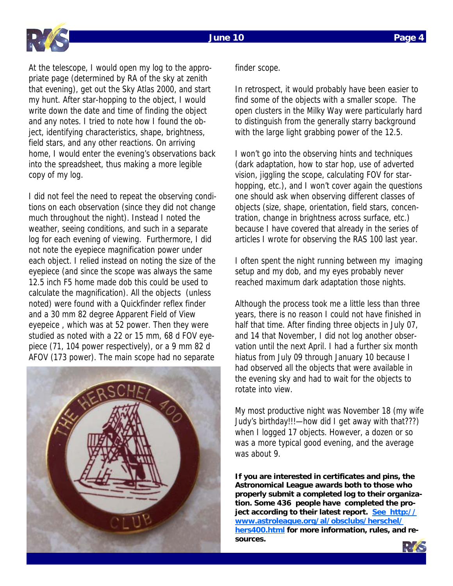

At the telescope, I would open my log to the appropriate page (determined by RA of the sky at zenith that evening), get out the Sky Atlas 2000, and start my hunt. After star-hopping to the object, I would write down the date and time of finding the object and any notes. I tried to note how I found the object, identifying characteristics, shape, brightness, field stars, and any other reactions. On arriving home, I would enter the evening's observations back into the spreadsheet, thus making a more legible copy of my log.

I did not feel the need to repeat the observing conditions on each observation (since they did not change much throughout the night). Instead I noted the weather, seeing conditions, and such in a separate log for each evening of viewing. Furthermore, I did not note the eyepiece magnification power under each object. I relied instead on noting the size of the eyepiece (and since the scope was always the same 12.5 inch F5 home made dob this could be used to calculate the magnification). All the objects (unless noted) were found with a Quickfinder reflex finder and a 30 mm 82 degree Apparent Field of View eyepeice , which was at 52 power. Then they were studied as noted with a 22 or 15 mm, 68 d FOV eyepiece (71, 104 power respectively), or a 9 mm 82 d AFOV (173 power). The main scope had no separate



finder scope.

In retrospect, it would probably have been easier to find some of the objects with a smaller scope. The open clusters in the Milky Way were particularly hard to distinguish from the generally starry background with the large light grabbing power of the 12.5.

I won't go into the observing hints and techniques (dark adaptation, how to star hop, use of adverted vision, jiggling the scope, calculating FOV for starhopping, etc.), and I won't cover again the questions one should ask when observing different classes of objects (size, shape, orientation, field stars, concentration, change in brightness across surface, etc.) because I have covered that already in the series of articles I wrote for observing the RAS 100 last year.

I often spent the night running between my imaging setup and my dob, and my eyes probably never reached maximum dark adaptation those nights.

Although the process took me a little less than three years, there is no reason I could not have finished in half that time. After finding three objects in July 07, and 14 that November, I did not log another observation until the next April. I had a further six month hiatus from July 09 through January 10 because I had observed all the objects that were available in the evening sky and had to wait for the objects to rotate into view.

My most productive night was November 18 (my wife Judy's birthday!!!—how did I get away with that???) when I logged 17 objects. However, a dozen or so was a more typical good evening, and the average was about 9.

**If you are interested in certificates and pins, the Astronomical League awards both to those who properly submit a completed log to their organization. Some 436 people have completed the project according to their latest report. See http:// www.astroleague.org/al/obsclubs/herschel/ hers400.html for more information, rules, and resources.** 

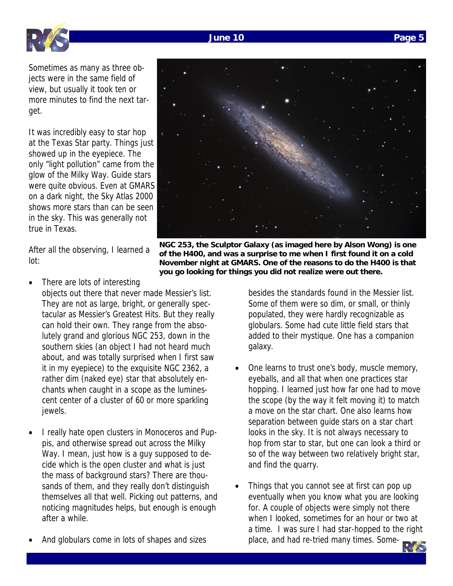## • And globulars come in lots of shapes and sizes



Sometimes as many as three objects were in the same field of view, but usually it took ten or more minutes to find the next target.

It was incredibly easy to star hop at the Texas Star party. Things just showed up in the eyepiece. The only "light pollution" came from the glow of the Milky Way. Guide stars were quite obvious. Even at GMARS on a dark night, the Sky Atlas 2000 shows more stars than can be seen in the sky. This was generally not true in Texas.

After all the observing, I learned a **you go looking for things you did not realize were out there.** 

- There are lots of interesting objects out there that never made Messier's list. They are not as large, bright, or generally spectacular as Messier's Greatest Hits. But they really can hold their own. They range from the absolutely grand and glorious NGC 253, down in the southern skies (an object I had not heard much about, and was totally surprised when I first saw it in my eyepiece) to the exquisite NGC 2362, a rather dim (naked eye) star that absolutely enchants when caught in a scope as the luminescent center of a cluster of 60 or more sparkling jewels.
- I really hate open clusters in Monoceros and Puppis, and otherwise spread out across the Milky Way. I mean, just how is a guy supposed to decide which is the open cluster and what is just the mass of background stars? There are thousands of them, and they really don't distinguish themselves all that well. Picking out patterns, and noticing magnitudes helps, but enough is enough after a while.

besides the standards found in the Messier list. Some of them were so dim, or small, or thinly populated, they were hardly recognizable as globulars. Some had cute little field stars that added to their mystique. One has a companion galaxy.

- One learns to trust one's body, muscle memory, eyeballs, and all that when one practices star hopping. I learned just how far one had to move the scope (by the way it felt moving it) to match a move on the star chart. One also learns how separation between guide stars on a star chart looks in the sky. It is not always necessary to hop from star to star, but one can look a third or so of the way between two relatively bright star, and find the quarry.
- Things that you cannot see at first can pop up eventually when you know what you are looking for. A couple of objects were simply not there when I looked, sometimes for an hour or two at a time. I was sure I had star-hopped to the right place, and had re-tried many times. Some-

**NGC 253, the Sculptor Galaxy (as imaged here by Alson Wong) is one of the H400, and was a surprise to me when I first found it on a cold November night at GMARS. One of the reasons to do the H400 is that** 





lot: